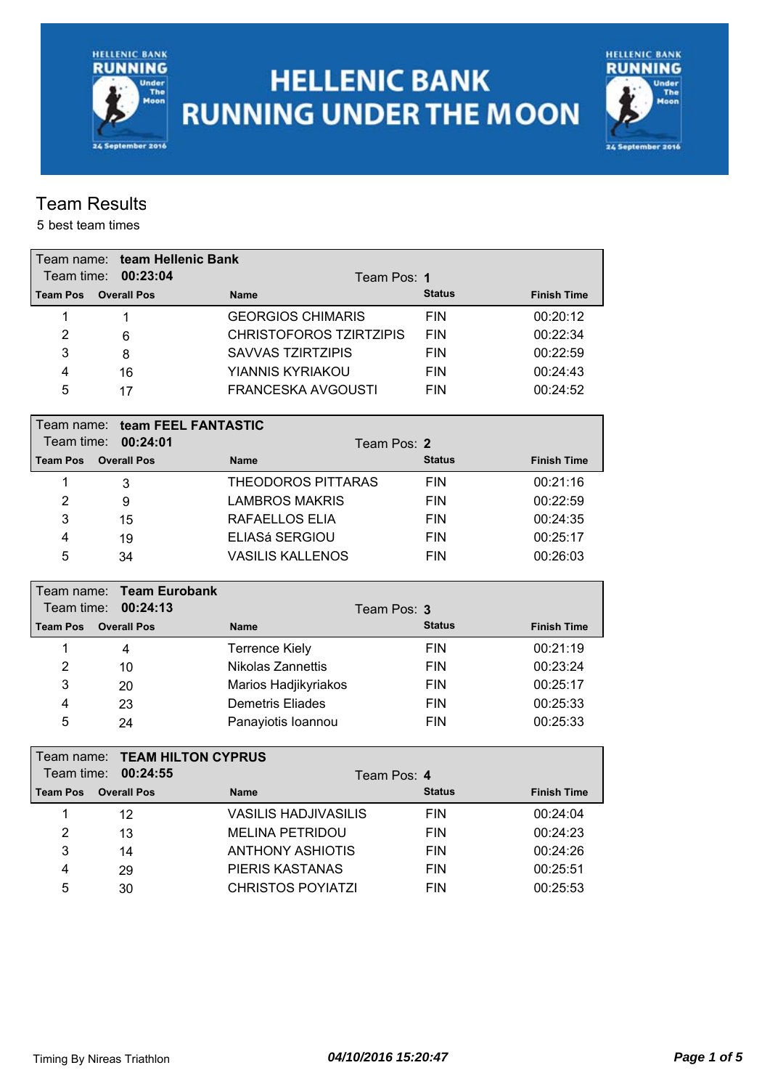

# **HELLENIC BANK RUNNING UNDER THE MOON**



### Team Results

| Team name:      | team Hellenic Bank        |                                |               |                    |
|-----------------|---------------------------|--------------------------------|---------------|--------------------|
| Team time:      | 00:23:04                  | Team Pos: 1                    |               |                    |
| <b>Team Pos</b> | <b>Overall Pos</b>        | <b>Name</b>                    | <b>Status</b> | <b>Finish Time</b> |
| 1               | 1                         | <b>GEORGIOS CHIMARIS</b>       | <b>FIN</b>    | 00:20:12           |
| $\overline{2}$  | 6                         | <b>CHRISTOFOROS TZIRTZIPIS</b> | <b>FIN</b>    | 00:22:34           |
| 3               | 8                         | <b>SAVVAS TZIRTZIPIS</b>       | <b>FIN</b>    | 00:22:59           |
| $\overline{4}$  | 16                        | YIANNIS KYRIAKOU               | <b>FIN</b>    | 00:24:43           |
| 5               | 17                        | <b>FRANCESKA AVGOUSTI</b>      | <b>FIN</b>    | 00:24:52           |
| Team name: l    | team FEEL FANTASTIC       |                                |               |                    |
| Team time:      | 00:24:01                  | Team Pos: 2                    |               |                    |
| <b>Team Pos</b> | <b>Overall Pos</b>        | <b>Name</b>                    | <b>Status</b> | <b>Finish Time</b> |
| 1               | 3                         | <b>THEODOROS PITTARAS</b>      | <b>FIN</b>    | 00:21:16           |
| $\overline{2}$  | 9                         | <b>LAMBROS MAKRIS</b>          | <b>FIN</b>    | 00:22:59           |
| 3               | 15                        | RAFAELLOS ELIA                 | <b>FIN</b>    | 00:24:35           |
| $\overline{4}$  | 19                        | ELIASá SERGIOU                 | <b>FIN</b>    | 00:25:17           |
| 5               | 34                        | <b>VASILIS KALLENOS</b>        | <b>FIN</b>    | 00:26:03           |
|                 |                           |                                |               |                    |
| Team name:      | <b>Team Eurobank</b>      |                                |               |                    |
| Team time:      | 00:24:13                  | Team Pos: 3                    |               |                    |
| <b>Team Pos</b> | <b>Overall Pos</b>        | <b>Name</b>                    | <b>Status</b> | <b>Finish Time</b> |
| 1               | $\overline{\mathbf{4}}$   | <b>Terrence Kiely</b>          | <b>FIN</b>    | 00:21:19           |
| $\overline{2}$  | 10                        | Nikolas Zannettis              | <b>FIN</b>    | 00:23:24           |
| 3               | 20                        | Marios Hadjikyriakos           | <b>FIN</b>    | 00:25:17           |
| 4               | 23                        | <b>Demetris Eliades</b>        | <b>FIN</b>    | 00:25:33           |
| 5               | 24                        | Panayiotis Ioannou             | <b>FIN</b>    | 00:25:33           |
| Team name:      | <b>TEAM HILTON CYPRUS</b> |                                |               |                    |
| Team time:      | 00:24:55                  | Team Pos: 4                    |               |                    |
| <b>Team Pos</b> | <b>Overall Pos</b>        | <b>Name</b>                    | <b>Status</b> | <b>Finish Time</b> |
| 1               | 12                        | <b>VASILIS HADJIVASILIS</b>    | <b>FIN</b>    | 00:24:04           |
| $\overline{2}$  | 13                        | <b>MELINA PETRIDOU</b>         | <b>FIN</b>    | 00:24:23           |
| 3               | 14                        | <b>ANTHONY ASHIOTIS</b>        | <b>FIN</b>    | 00:24:26           |
| 4               | 29                        | PIERIS KASTANAS                | <b>FIN</b>    | 00:25:51           |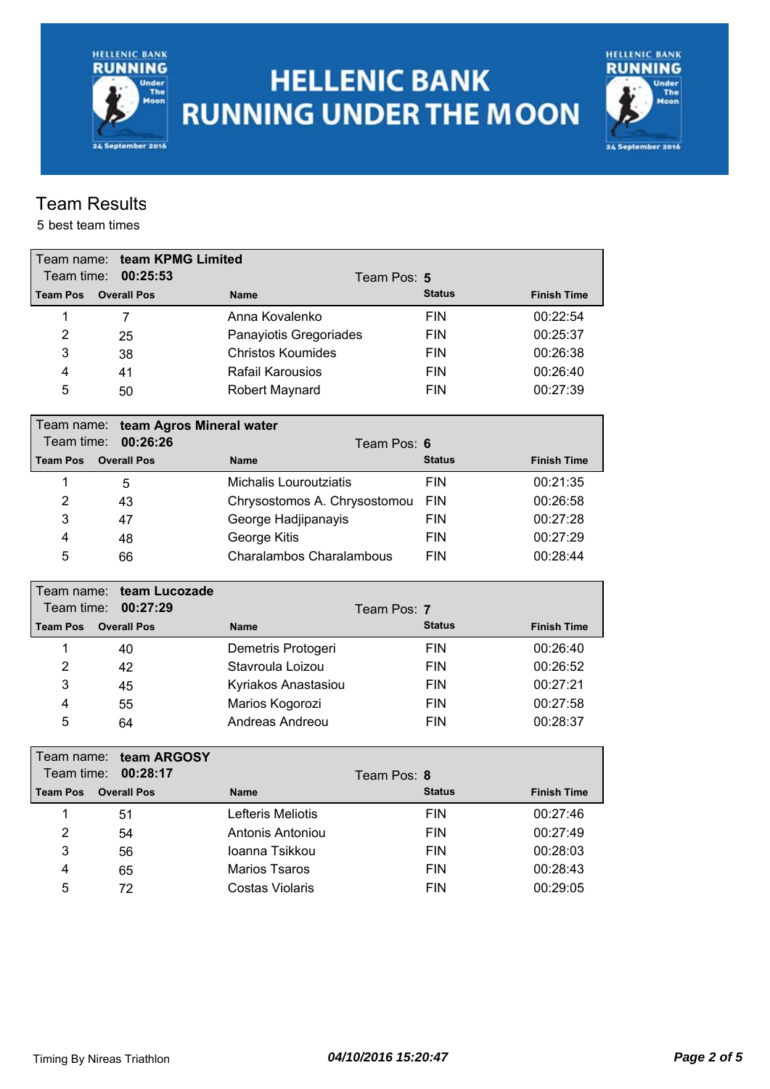**HELLENIC BANK RUNNING** Under<br>The<br>Moon 24 September 2016

# **HELLENIC BANK RUNNING UNDER THE MOON**



### Team Results

| Team name:      | team KPMG Limited        |                                 |               |                    |
|-----------------|--------------------------|---------------------------------|---------------|--------------------|
| Team time:      | 00:25:53                 | Team Pos: 5                     |               |                    |
| <b>Team Pos</b> | <b>Overall Pos</b>       | <b>Name</b>                     | <b>Status</b> | <b>Finish Time</b> |
| 1               | 7                        | Anna Kovalenko                  | <b>FIN</b>    | 00:22:54           |
| 2               | 25                       | Panayiotis Gregoriades          | <b>FIN</b>    | 00:25:37           |
| 3               | 38                       | <b>Christos Koumides</b>        | <b>FIN</b>    | 00:26:38           |
| 4               | 41                       | <b>Rafail Karousios</b>         | <b>FIN</b>    | 00:26:40           |
| 5               | 50                       | Robert Maynard                  | <b>FIN</b>    | 00:27:39           |
| Team name:      | team Agros Mineral water |                                 |               |                    |
| Team time:      | 00:26:26                 | Team Pos: 6                     |               |                    |
| <b>Team Pos</b> | <b>Overall Pos</b>       | <b>Name</b>                     | <b>Status</b> | <b>Finish Time</b> |
| 1               | 5                        | Michalis Louroutziatis          | <b>FIN</b>    | 00:21:35           |
| $\overline{2}$  | 43                       | Chrysostomos A. Chrysostomou    | <b>FIN</b>    | 00:26:58           |
| 3               | 47                       | George Hadjipanayis             | <b>FIN</b>    | 00:27:28           |
| 4               | 48                       | George Kitis                    | <b>FIN</b>    | 00:27:29           |
| 5               | 66                       | <b>Charalambos Charalambous</b> | <b>FIN</b>    | 00:28:44           |
| Team name: l    | team Lucozade            |                                 |               |                    |
| Team time:      | 00:27:29                 | Team Pos: 7                     |               |                    |
| <b>Team Pos</b> | <b>Overall Pos</b>       | <b>Name</b>                     | <b>Status</b> | <b>Finish Time</b> |
| 1               | 40                       | Demetris Protogeri              | <b>FIN</b>    | 00:26:40           |
| $\overline{2}$  | 42                       | Stavroula Loizou                | <b>FIN</b>    | 00:26:52           |
| 3               | 45                       | Kyriakos Anastasiou             | <b>FIN</b>    | 00:27:21           |
| 4               | 55                       | Marios Kogorozi                 | <b>FIN</b>    | 00:27:58           |
| 5               | 64                       | Andreas Andreou                 | <b>FIN</b>    | 00:28:37           |
| Team name:      | team ARGOSY              |                                 |               |                    |
| Team time:      | 00:28:17                 | Team Pos: 8                     |               |                    |
| <b>Team Pos</b> | <b>Overall Pos</b>       | <b>Name</b>                     | <b>Status</b> | <b>Finish Time</b> |
| 1               | 51                       | Lefteris Meliotis               | <b>FIN</b>    | 00:27:46           |
| $\overline{2}$  | 54                       | Antonis Antoniou                | <b>FIN</b>    | 00:27:49           |
| 3               | 56                       | Ioanna Tsikkou                  | <b>FIN</b>    | 00:28:03           |
| 4               |                          |                                 |               |                    |
|                 | 65                       | <b>Marios Tsaros</b>            | <b>FIN</b>    | 00:28:43           |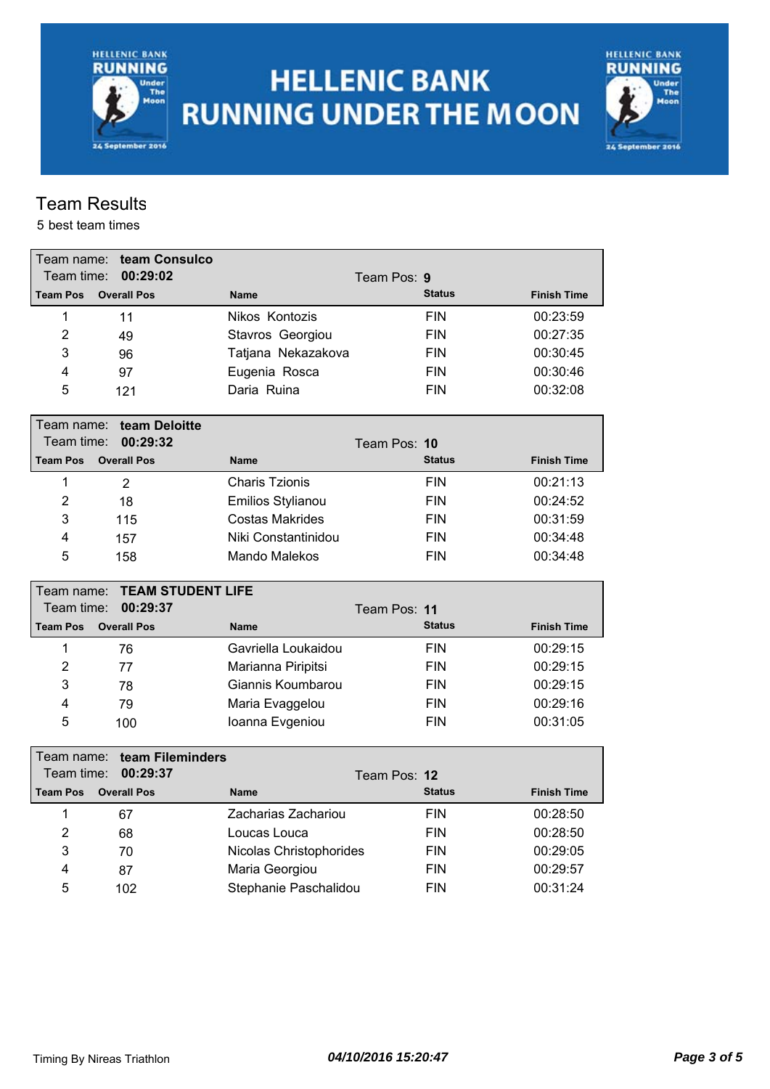**HELLENIC BANK RUNNING** Under<br>The<br>Moon 24 September 2016

# **HELLENIC BANK RUNNING UNDER THE MOON**



### Team Results

| Team name:      | team Consulco            |                         |               |                    |
|-----------------|--------------------------|-------------------------|---------------|--------------------|
| Team time:      | 00:29:02                 | Team Pos: 9             |               |                    |
| <b>Team Pos</b> | <b>Overall Pos</b>       | <b>Name</b>             | <b>Status</b> | <b>Finish Time</b> |
| 1               | 11                       | Nikos Kontozis          | <b>FIN</b>    | 00:23:59           |
| $\overline{2}$  | 49                       | Stavros Georgiou        | <b>FIN</b>    | 00:27:35           |
| 3               | 96                       | Tatjana Nekazakova      | <b>FIN</b>    | 00:30:45           |
| 4               | 97                       | Eugenia Rosca           | <b>FIN</b>    | 00:30:46           |
| 5               | 121                      | Daria Ruina             | <b>FIN</b>    | 00:32:08           |
| Team name:      | team Deloitte            |                         |               |                    |
| Team time:      | 00:29:32                 | Team Pos: 10            |               |                    |
| <b>Team Pos</b> | <b>Overall Pos</b>       | <b>Name</b>             | <b>Status</b> | <b>Finish Time</b> |
| 1               | $\overline{2}$           | <b>Charis Tzionis</b>   | <b>FIN</b>    | 00:21:13           |
| $\overline{2}$  | 18                       | Emilios Stylianou       | <b>FIN</b>    | 00:24:52           |
| 3               | 115                      | <b>Costas Makrides</b>  | <b>FIN</b>    | 00:31:59           |
| $\overline{4}$  | 157                      | Niki Constantinidou     | <b>FIN</b>    | 00:34:48           |
| 5               | 158                      | Mando Malekos           | <b>FIN</b>    | 00:34:48           |
|                 |                          |                         |               |                    |
| Team name:      | <b>TEAM STUDENT LIFE</b> |                         |               |                    |
| Team time:      | 00:29:37                 | Team Pos: 11            |               |                    |
| <b>Team Pos</b> | <b>Overall Pos</b>       | <b>Name</b>             | <b>Status</b> | <b>Finish Time</b> |
| 1               | 76                       | Gavriella Loukaidou     | <b>FIN</b>    | 00:29:15           |
| $\overline{2}$  | 77                       | Marianna Piripitsi      | <b>FIN</b>    | 00:29:15           |
| 3               | 78                       | Giannis Koumbarou       | <b>FIN</b>    | 00:29:15           |
| 4               | 79                       | Maria Evaggelou         | <b>FIN</b>    | 00:29:16           |
| 5               | 100                      | Ioanna Evgeniou         | <b>FIN</b>    | 00:31:05           |
| Team name:      | team Fileminders         |                         |               |                    |
| Team time:      | 00:29:37                 | Team Pos: 12            |               |                    |
| <b>Team Pos</b> | <b>Overall Pos</b>       | <b>Name</b>             | <b>Status</b> | <b>Finish Time</b> |
| 1               | 67                       | Zacharias Zachariou     | <b>FIN</b>    | 00:28:50           |
| $\overline{2}$  | 68                       | Loucas Louca            | <b>FIN</b>    | 00:28:50           |
| 3               | 70                       | Nicolas Christophorides | <b>FIN</b>    | 00:29:05           |
| 4               | 87                       | Maria Georgiou          | <b>FIN</b>    | 00:29:57           |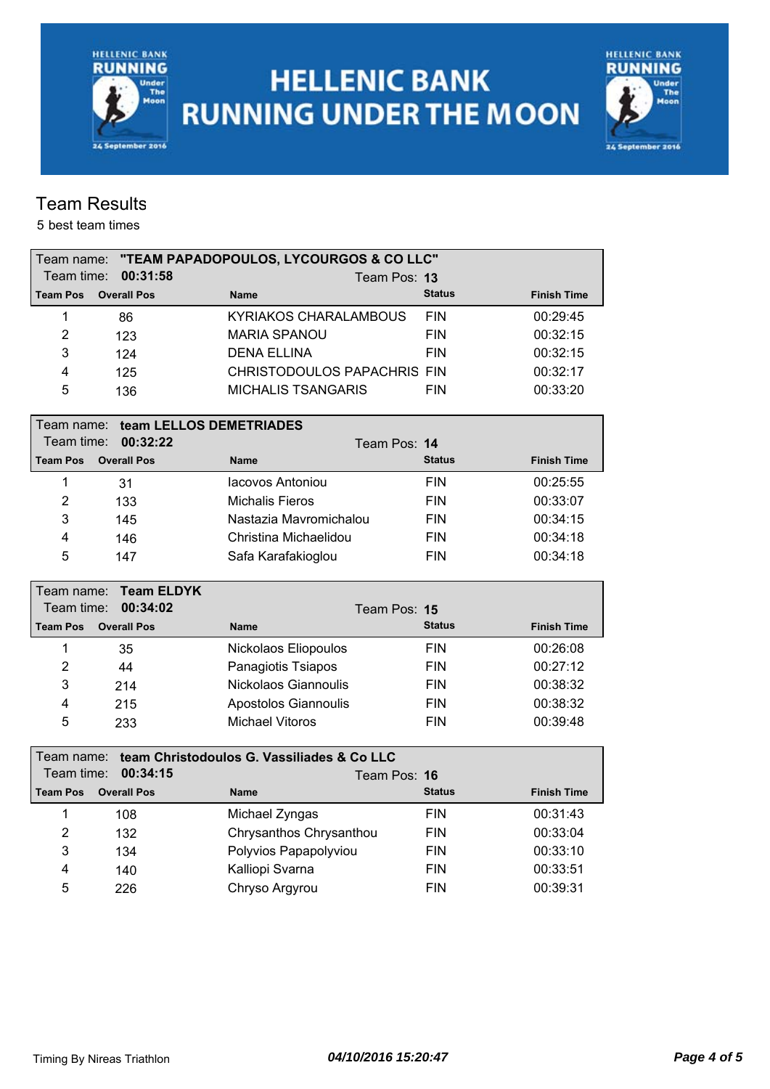

# **HELLENIC BANK RUNNING UNDER THE MOON**



### Team Results

| Team name:      |                         | "TEAM PAPADOPOULOS, LYCOURGOS & CO LLC"    |               |                    |
|-----------------|-------------------------|--------------------------------------------|---------------|--------------------|
| Team time:      | 00:31:58                | Team Pos: 13                               |               |                    |
| <b>Team Pos</b> | <b>Overall Pos</b>      | <b>Name</b>                                | <b>Status</b> | <b>Finish Time</b> |
| 1               | 86                      | <b>KYRIAKOS CHARALAMBOUS</b>               | <b>FIN</b>    | 00:29:45           |
| $\overline{2}$  | 123                     | <b>MARIA SPANOU</b>                        | <b>FIN</b>    | 00:32:15           |
| 3               | 124                     | <b>DENA ELLINA</b>                         | <b>FIN</b>    | 00:32:15           |
| 4               | 125                     | CHRISTODOULOS PAPACHRIS FIN                |               | 00:32:17           |
| 5               | 136                     | <b>MICHALIS TSANGARIS</b>                  | <b>FIN</b>    | 00:33:20           |
| Team name:      | team LELLOS DEMETRIADES |                                            |               |                    |
| Team time:      | 00:32:22                | Team Pos: 14                               |               |                    |
| <b>Team Pos</b> | <b>Overall Pos</b>      | <b>Name</b>                                | <b>Status</b> | <b>Finish Time</b> |
| 1               | 31                      | lacovos Antoniou                           | <b>FIN</b>    | 00:25:55           |
| $\overline{2}$  | 133                     | <b>Michalis Fieros</b>                     | <b>FIN</b>    | 00:33:07           |
| 3               | 145                     | Nastazia Mavromichalou                     | <b>FIN</b>    | 00:34:15           |
| $\overline{4}$  | 146                     | Christina Michaelidou                      | <b>FIN</b>    | 00:34:18           |
| 5               | 147                     | Safa Karafakioglou                         | <b>FIN</b>    | 00:34:18           |
|                 |                         |                                            |               |                    |
| Team name:      | <b>Team ELDYK</b>       |                                            |               |                    |
| Team time:      | 00:34:02                | Team Pos: 15                               |               |                    |
| <b>Team Pos</b> | <b>Overall Pos</b>      | <b>Name</b>                                | <b>Status</b> | <b>Finish Time</b> |
| 1               | 35                      | Nickolaos Eliopoulos                       | <b>FIN</b>    | 00:26:08           |
| $\overline{2}$  | 44                      | Panagiotis Tsiapos                         | <b>FIN</b>    | 00:27:12           |
| 3               | 214                     | Nickolaos Giannoulis                       | <b>FIN</b>    | 00:38:32           |
| 4               | 215                     | Apostolos Giannoulis                       | <b>FIN</b>    | 00:38:32           |
| 5               | 233                     | <b>Michael Vitoros</b>                     | <b>FIN</b>    | 00:39:48           |
| Team name:      |                         | team Christodoulos G. Vassiliades & Co LLC |               |                    |
| Team time:      | 00:34:15                | Team Pos: 16                               |               |                    |
| <b>Team Pos</b> | <b>Overall Pos</b>      | <b>Name</b>                                | <b>Status</b> | <b>Finish Time</b> |
| 1               | 108                     | Michael Zyngas                             | <b>FIN</b>    | 00:31:43           |
| $\overline{2}$  | 132                     | Chrysanthos Chrysanthou                    | <b>FIN</b>    | 00:33:04           |
| 3               | 134                     | Polyvios Papapolyviou                      | <b>FIN</b>    | 00:33:10           |
| 4               | 140                     | Kalliopi Svarna                            | <b>FIN</b>    | 00:33:51           |